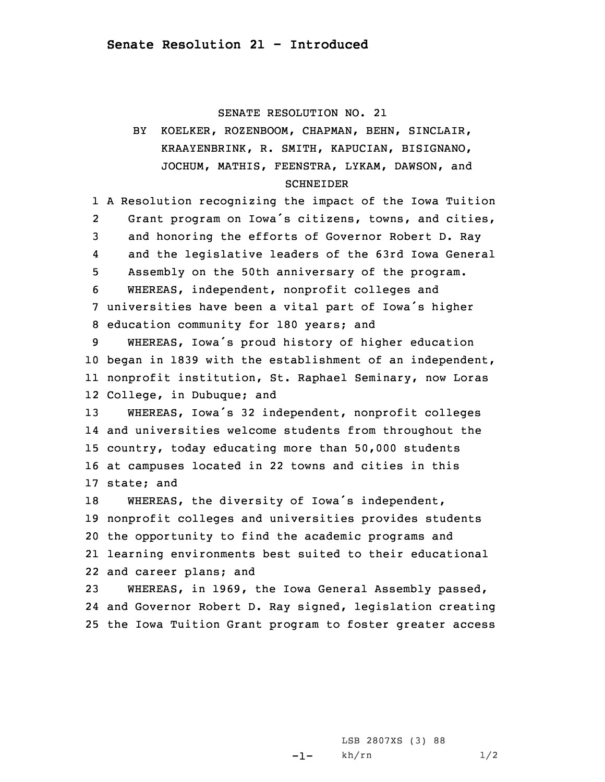## SENATE RESOLUTION NO. 21

## BY KOELKER, ROZENBOOM, CHAPMAN, BEHN, SINCLAIR, KRAAYENBRINK, R. SMITH, KAPUCIAN, BISIGNANO, JOCHUM, MATHIS, FEENSTRA, LYKAM, DAWSON, and SCHNEIDER

1 <sup>A</sup> Resolution recognizing the impact of the Iowa Tuition 2 Grant program on Iowa's citizens, towns, and cities, 3 and honoring the efforts of Governor Robert D. Ray 4 and the legislative leaders of the 63rd Iowa General 5 Assembly on the 50th anniversary of the program. 6 WHEREAS, independent, nonprofit colleges and <sup>7</sup> universities have been <sup>a</sup> vital part of Iowa's higher 8 education community for 180 years; and

 WHEREAS, Iowa's proud history of higher education began in 1839 with the establishment of an independent, nonprofit institution, St. Raphael Seminary, now Loras College, in Dubuque; and

 WHEREAS, Iowa's <sup>32</sup> independent, nonprofit colleges and universities welcome students from throughout the country, today educating more than 50,000 students at campuses located in 22 towns and cities in this state; and

 WHEREAS, the diversity of Iowa's independent, nonprofit colleges and universities provides students the opportunity to find the academic programs and learning environments best suited to their educational and career plans; and

23 WHEREAS, in 1969, the Iowa General Assembly passed, 24 and Governor Robert D. Ray signed, legislation creating 25 the Iowa Tuition Grant program to foster greater access